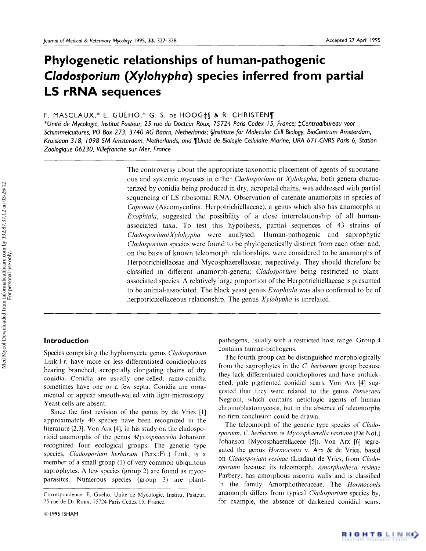# **Phylogenetic relationships of human-pathogenic**  *Cladosporium (Xylohypha)* **species inferred from partial LS rRNA sequences**

## F. MASCLAUX,\* E. GUÉHO,\* G. S. DE HOOG $\sharp$ § & R. CHRISTEN¶

*\*Unit6 de Mycologie, Institut Pasteur, 25 rue du Docteur Roux, 75 724 Paris Cedex 15, France; \$Centraalbureau voor Schimmelcultures, PO Box 2 73, 3740 AG 8aarn, Netherlands; §Institute for Molecular Cell Biology, BioCentrum Amsterdam, Kruislaan 318, 1098 SM Amsterdam, Netherlands; and ¶Unit6 de Biologie Cellulaire Marine, URA 6 71-CNRS Paris 6, Station Zoologique 06230, Villefranche* sur *Mer, France* 

> The controversy about the appropriate taxonomic placement of agents of subcutaneous and systemic mycoses in either *Cladosporium* or *Xylohypha,* both genera characterized by conidia being produced in dry, acropetal chains, was addressed with partial sequencing of LS ribosomal RNA. Observation of catenate anamorphs in species of *Capronia* (Ascomycotina, Herpotrichiellaceae), a genus which also has anamorphs in *Exophiala,* suggested the possibility of a close interrelationship of all humanassociated taxa. To test this hypothesis, partial sequences of 43 strains of *Cladosporium/Xylohypha* were analysed. Human-pathogenic and saprophytic *Cladosporium* species were found to be phylogenetically distinct from each other and, on the basis of known teleomorph relationships, were considered to be anamorphs of Herpotrichiellaceae and Mycosphaerellaceae, respectively. They should therefore be classified in different anamorph-genera; *Cladosporium* being restricted to plantassociated species. A relatively large proportion of the Herpotrichiellaceae is presumed to be animal-associated. The black yeast genus *Exophiala* was also confirmed to be of herpotrichiellaceous relationship. The genus *Xylohypha* is unrelated.

## **Introduction**

Species comprising the hyphomycete genus *Cladosporium* Link:Fr. have more or less differentiated conidiophores bearing branched, acropetally elongating chains of dry conidia. Conidia are usually one-celled; ramo-conidia sometimes have one or a few septa. Conidia are ornamented or appear smooth-walled with light-microscopy. Yeast cells are absent.

Since the first revision of the genus by de Vries [1] approximately 40 species have been recognized in the literature [2,3]. Von Arx [4], in his study on the cladosporioid anamorphs of the genus *Mycosphaerella* Johanson recognized four ecological groups. The generic type species, *Cladosporium herbarum* (Pers.:Fr.) Link, is a member of a small group (1) of very common ubiquitous saprophytes. A few species (group 2) are found as mycoparasites. Numerous species (group 3) are plantpathogens, usually with a restricted host range. Group 4 contains human-pathogens.

The fourth group can be distinguished morphologically from the saprophytes in the *C. herbarum* group because they lack differentiated conidiophores and have unthickened, pale pigmented conidial scars. Von Arx [4] suggested that they were related to the genus *Fonsecaea*  Negroni, which contains aetiologic agents of human chromoblastomycosis, but in the absence of teleomorphs no firm conclusion could be drawn.

The teleomorph of the generic type species of *Cladosporium, C. herbarum,* is *Mycosphaerella tassiana* (De Not.) Johanson (Mycosphaerellaceae [5]). Von Arx [6] segregated the genus *Hormoconis* v. Arx & de Vries, based on *Cladosporium resinae* (Lindau) de Vries, from *Cladosporium* because its teleomorph, *Amorphotheca resinae*  Parbery, has amorphous ascoma walls and is classified in the family Amorphothecaceae. The *Hormoconis*  anamorph differs from typical *Cladosporium* species by, for example, the absence of darkened conidial scars.

For personal use only.

Correspondence: E. Guého, Unité de Mycologie, Institut Pasteur, 25 rue de Dr Roux, 75724 Paris Cedex 15, France.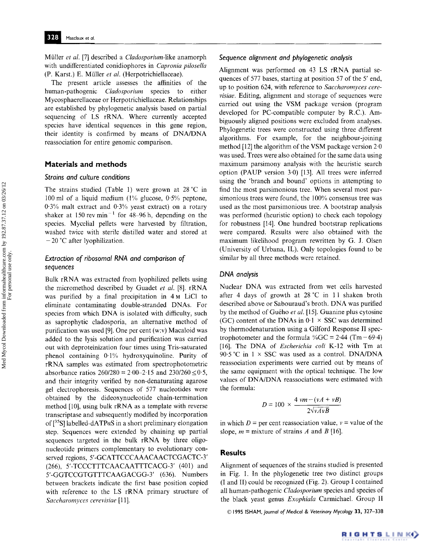Mfiller *et al.* [7] described a *Cladosporium-like* anamorph with undifferentiated conidiophores in *Capronia pilosella*  (P. Karst.) E. Mfiller *et al.* (Herpotrichiellaceae).

The present article assesses the affinities of the human-pathogenic *Cladosporium* species to either Mycosphaerellaceae or Herpotrichiellaceae. Relationships are established by phylogenetic analysis based on partial sequencing of LS rRNA. Where currently accepted species have identical sequences in this gene region, their identity is confirmed by means of DNA/DNA reassociation for entire genomic comparison.

#### **Materials and methods**

#### *Strains and culture conditions*

The strains studied (Table 1) were grown at 28 °C in 100 ml of a liquid medium (1% glucose, 0-5% peptone, 0'3% malt extract and 0-3% yeast extract) on a rotary shaker at  $150$  rev min<sup>-1</sup> for 48-96 h, depending on the species. Mycelial pellets were harvested by filtration, washed twice with sterile distilled water and stored at  $-20$  °C after lyophilization.

### *Extraction of ribosomal RNA and comparison of sequences*

Bulk rRNA was extracted from lyophilized pellets using **the** micromethod described by Guadet *et al.* [8]. rRNA was purified by a final precipitation in 4 M LiCl to eliminate contaminating double-stranded DNAs. For species from which DNA is isolated with difficulty, such as saprophytic cladosporia, an alternative method of purification was used [9]. One per cent (w:v) Macaloid was added to the lysis solution and purification was carried out with deproteinization four times using Tris-saturated phenol containing  $0.1\%$  hydroxyquinoline. Purity of rRNA samples was estimated from spectrophotometric absorbance ratios  $260/280 = 2.00 - 2.15$  and  $230/260 \le 0.5$ , and their integrity verified by non-denaturating agarose gel electrophoresis. Sequences of 577 nucleotides were obtained by the dideoxynucleotide chain-termination method [10], using bulk rRNA as a template with reverse transcriptase and subsequently modified by incorporation of  $[^{35}S]$  labelled-dATPaS in a short preliminary elongation step. Sequences were extended by chaining up partial sequences targeted in the bulk rRNA by three oligonucleotide primers complementary to evolutionary conserved regions, 5'-GCATTCCCAAACAACTCGACTC-3' (266), 5'-TCCCTTTCAACAATTTCACG-Y (401) and 5'-GGTCCGTGTTTCAAGACGG-3' (636). Numbers between brackets indicate the first base position copied with reference to the LS rRNA primary structure of *Saccharomyces cerevisiae* [11].

#### *Sequence alignment and phylogenetic analysis*

Alignment was performed on 43 LS rRNA partial sequences of 577 bases, starting at position 57 of the 5' end, up to position 624, with reference to *Saccharomyces cerevisiae.* Editing, alignment and storage of sequences were carried out using the VSM package version (program developed for PC-compatible computer by R.C.). Ambiguously aligned positions were excluded from analyses. Phylogenetic trees were constructed using three different algorithms. For example, for the neighbour-joining method [12] the algorithm of the VSM package version 2-0 was used. Trees were also obtained for the same data using maximum parsimony analysis with the heuristic search option (PAUP version 3.0) [13]. All trees were inferred using the 'branch and bound' options in attempting to find the most parsimonious tree. When several most parsimonious trees were found, the 100% consensus tree was used as the most parsimonious tree. A bootstrap analysis was performed (heuristic option) to check each topology for robustness [14]. One hundred bootstrap replications were compared. Results were also obtained with the maximum likelihood program rewritten by G. J. Olsen (University of Urbana, IL). Only topologies found to be similar by all three methods were retained.

#### *DNA analysis*

Nuclear DNA was extracted from wet cells harvested after 4 days of growth at  $28\degree C$  in 11 shaken broth described above or Sabouraud's broth. DNA was purified by the method of Guého *et al.* [15]. Guanine plus cytosine (GC) content of the DNAs in  $0.1 \times$  SSC was determined by thermodenaturation using a Gilford Response II spectrophotometer and the formula % $GC = 2.44$  (Tm - 69.4) [16]. The DNA of *Escherichia coli* K-12 with Tm at 90.5 °C in  $1 \times SSC$  was used as a control. DNA/DNA reassociation experiments were carried out by means of the same equipment with the optical technique. The low values of DNA/DNA reassociations were estimated with the formula:

$$
D = 100 \times \frac{4 \text{vm} - (\nu A + \nu B)}{2\sqrt{\nu A \nu B}}
$$

in which  $D =$  per cent reassociation value,  $v =$  value of the slope,  $m =$  mixture of strains A and B [16].

#### **Results**

Alignment of sequences of the strains studied is presented in Fig. I. In the phylogenetic tree two distinct groups (I and II) could be recognized (Fig. 2). Group I contained all human-pathogenic *Cladosporium* species and species of the black yeast genus *Exophiala* Carmichael. Group II

© 1995 1SHAM, *Journal of Medical & Veterinary Mycology* 33, 327-338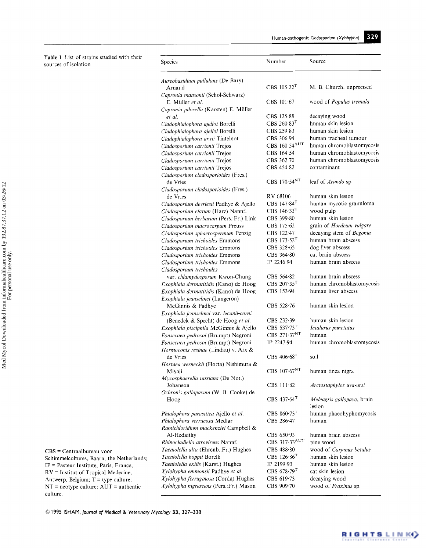Table 1 List of strains studied with their sources of isolation

| Species                                                              | Number                         | Source                               |
|----------------------------------------------------------------------|--------------------------------|--------------------------------------|
| <i>Aureobasidium pullulans</i> (De Bary)                             | CBS $105.22$ <sup>T</sup>      | M. B. Church, unprecised             |
| Arnaud<br>Capronia mansonii (Schol-Schwarz)                          |                                |                                      |
| E. Müller et al.                                                     | $CBS$ 101.67                   | wood of Populus tremula              |
| Capronia pilosella (Karsten) E. Müller                               |                                |                                      |
| et al.                                                               | CBS 125.88<br>$CBS$ 260.83 $T$ | decaying wood<br>human skin lesion   |
| Cladophialophora ajelloi Borelli<br>Cladophialophora ajelloi Borelli | CBS 259-83                     | human skin lesion                    |
| Cladophialophora arxii Tintelnot                                     | CBS 306.94                     | human tracheal tumour                |
| Cladosporum carrionii Trejos                                         | CBS 160.54 <sup>AUT</sup>      | human chromoblastomycosis            |
| Cladosporium carrionii Trejos                                        | CBS 164.54                     | human chromoblastomycosis            |
| Cladosporium carrionii Trejos                                        | CBS 362.70                     | human chromoblastomycosis            |
| Cladosporium carrionii Trejos                                        | CBS 454.82                     | contaminant                          |
| Cladosporium cladosporioides (Fres.)                                 | CBS 170.54 <sup>NT</sup>       | leaf of Arundo sp.                   |
| de Vries<br>Cladosporium cladosporioides (Fres.)                     |                                |                                      |
| de Vries                                                             | RV 68106                       | human skin lesion                    |
| Cladosporium devriesii Padhye & Ajello                               | CBS $147.84$ <sup>T</sup>      | human mycotic granuloma              |
| Cladosporium elatum (Harz) Nannf.                                    | CBS $146.33$ <sup>T</sup>      | wood pulp                            |
| Cladosporium herbarum (Pers.:Fr.) Link                               | CBS 399-80                     | human skin lesion                    |
| Cladosporium macrocarpum Preuss                                      | CBS 175.62                     | grain of Hordeum vulgare             |
| Cladosporium sphaerospermum Penzig                                   | CBS 122-47                     | decaying stem of Begonia             |
| Cladosporium trichoides Emmons                                       | CBS $173.52$ <sup>T</sup>      | human brain abscess                  |
| Cladosporium trichoides Emmons                                       | CBS 328.65                     | dog liver abscess                    |
| Cladosporium trichoides Emmons                                       | CBS 364.80                     | cat brain abscess                    |
| Cladosporium trichoides Emmons<br>Cladosporium trichoides            | IP 2246-94                     | human brain abscess                  |
| var. chlamydosporum Kwon-Chung                                       | CBS 564.82                     | human brain abscess                  |
| Exophiala dermatitidis (Kano) de Hoog                                | CBS $207.35T$                  | human chromoblastomycosis            |
| Exophiala dermatitidis (Kano) de Hoog                                | CBS 153.94                     | human liver abscess                  |
| Exophiala jeanselmei (Langeron)                                      |                                |                                      |
| McGinnis & Padhye                                                    | CBS 528-76                     | human skin lesion                    |
| Exophiala jeanselmei var. lecanii-corni                              |                                |                                      |
| (Benedek & Specht) de Hoog et al.                                    | CBS 232.39                     | human skin lesion                    |
| Exophiala pisciphila McGinnis & Ajello                               | CBS 537-73 <sup>T</sup>        | Ictalurus punctatus                  |
| Fonsecaea pedrosoi (Brumpt) Negroni                                  | CBS 271.37 <sup>NT</sup>       | human                                |
| Fonsecaea pedrosoi (Brumpt) Negroni                                  | IP 2247.94                     | human chromoblastomycosis            |
| Hormoconis resinae (Lindau) v. Arx &<br>de Vries                     | CBS $406.68$ <sup>T</sup>      | soil                                 |
| Hortaea werneckii (Horta) Nishimura &                                |                                |                                      |
| Miyaji<br>Mycosphaerella tassiana (De Not.)                          | CBS 107.67NT                   | human tinea nigra                    |
| Johanson<br>Ochronis gallopavum (W. B. Cooke) de                     | CBS 111-82                     | Arctostaphylos uva-ursi              |
| Hoog                                                                 | CBS $437.64$ <sup>T</sup>      | Meleagris gallopavo, brain<br>lesion |
| Phialophora parasitica Ajello et al.                                 | CBS $860.73$ <sup>T</sup>      | human phaeohyphomycosis              |
| Phialophora verrucosa Medlar                                         | CBS 286-47                     | human                                |
| Ramichloridium mackenziei Campbell &<br>Al-Hedaithy                  | CBS 650.93                     | human brain abscess                  |
| Rhinocladiella atrovirens Nannf.                                     | CBS 317-33AUT                  | pine wood                            |
| Taeniolella alta (Ehrenb.:Fr.) Hughes                                | CBS 488.80                     | wood of Carpinus betulus             |
| Taeniolella boppii Borelli                                           | CBS $126.86$ <sup>T</sup>      | human skin lesion                    |
| Taeniolella exilis (Karst.) Hughes                                   | IP 2199.93                     | human skin lesion                    |
| Xylohypha emmonsii Padhye et al.                                     | CBS $678.79$ <sup>T</sup>      | cat skin lesion                      |
| Xylohypha ferruginosa (Corda) Hughes                                 | CBS 619-73                     | decaying wood                        |
| Xylohypha nigrescens (Pers.:Fr.) Mason                               | CBS 909.70                     | wood of Fraxinus sp.                 |

CBS = Centraalbureau voor Schimmelcultures, Baarn, the Netherlands; IP = Pasteur Institute, Paris, France;  $RV =$  Institut of Tropical Medecine, Antwerp, Belgium;  $T =$  type culture;  $NT =$  neotype culture;  $AUT =$  authentic culture.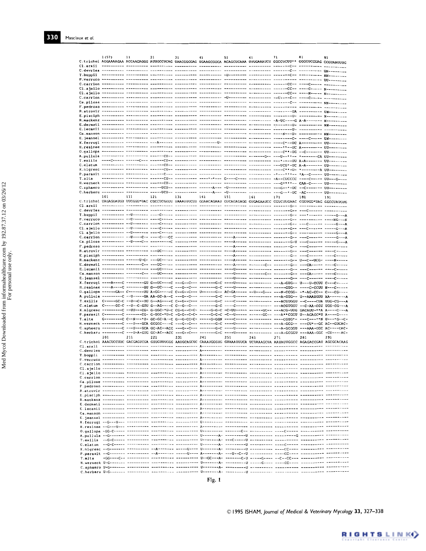|           | 1 (57) | 11  | 21  | 31  | 41  | 51  | 61  | 71                                                                                                                      | 81  | 91  |
|-----------|--------|-----|-----|-----|-----|-----|-----|-------------------------------------------------------------------------------------------------------------------------|-----|-----|
| Cl.arxii  |        |     |     |     |     |     |     | C.trichol AGGAAAAGAA ACCAACAGGG AUUGCCUCAG UDACGGGGAG UGAAGCGGCA ACAGCUCAAA UUUGAAAUCU GGCCUCUU** GGGGUCCGAG CCGUAAUUUG |     |     |
|           |        |     |     |     |     |     |     |                                                                                                                         |     |     |
|           |        |     |     |     |     |     |     |                                                                                                                         |     |     |
|           |        |     |     |     |     |     |     |                                                                                                                         |     |     |
|           |        |     |     |     |     |     |     |                                                                                                                         |     |     |
|           |        |     |     |     |     |     |     |                                                                                                                         |     |     |
|           |        |     |     |     |     |     |     |                                                                                                                         |     |     |
|           |        |     |     |     |     |     |     | <u>F,pedroso maassisii hiraasaare uudaannis misiisinin haraasaase aadaasisin uurisisinin misiisinin misiisinisi</u>     |     |     |
|           |        |     |     |     |     |     |     |                                                                                                                         |     |     |
|           |        |     |     |     |     |     |     |                                                                                                                         |     |     |
|           |        |     |     |     |     |     |     |                                                                                                                         |     |     |
|           |        |     |     |     |     |     |     |                                                                                                                         |     |     |
|           |        |     |     |     |     |     |     |                                                                                                                         |     |     |
|           |        |     |     |     |     |     |     |                                                                                                                         |     |     |
|           |        |     |     |     |     |     |     |                                                                                                                         |     |     |
|           |        |     |     |     |     |     |     |                                                                                                                         |     |     |
|           |        |     |     |     |     |     |     |                                                                                                                         |     |     |
|           |        |     |     |     |     |     |     |                                                                                                                         |     |     |
|           |        |     |     |     |     |     |     |                                                                                                                         |     |     |
| T.alta    |        |     |     |     |     |     |     |                                                                                                                         |     |     |
|           |        |     |     |     |     |     |     |                                                                                                                         |     |     |
|           |        |     |     |     |     |     |     |                                                                                                                         |     |     |
|           | 101    | 111 | 121 | 131 | 141 | 151 | 161 | 171                                                                                                                     | 181 | 191 |
|           |        |     |     |     |     |     |     | C.trichoi UAGAGGAUGU UUCGGG*UAC CGCCUCGGUU UAAAUUUCUU GGAACAGAAU GUCAGAGAGG GUGAGAAUCC CGUCUUGAAC CGGUGG*UAG GGCCUAUQUG |     |     |
| Cl.arxii  |        |     |     |     |     |     |     |                                                                                                                         |     |     |
|           |        |     |     |     |     |     |     |                                                                                                                         |     |     |
|           |        |     |     |     |     |     |     |                                                                                                                         |     |     |
|           |        |     |     |     |     |     |     |                                                                                                                         |     |     |
|           |        |     |     |     |     |     |     |                                                                                                                         |     |     |
|           |        |     |     |     |     |     |     |                                                                                                                         |     |     |
|           |        |     |     |     |     |     |     |                                                                                                                         |     |     |
|           |        |     |     |     |     |     |     |                                                                                                                         |     |     |
|           |        |     |     |     |     |     |     |                                                                                                                         |     |     |
|           |        |     |     |     |     |     |     |                                                                                                                         |     |     |
|           |        |     |     |     |     |     |     |                                                                                                                         |     |     |
|           |        |     |     |     |     |     |     |                                                                                                                         |     |     |
|           |        |     |     |     |     |     |     |                                                                                                                         |     |     |
|           |        |     |     |     |     |     |     |                                                                                                                         |     |     |
|           |        |     |     |     |     |     |     |                                                                                                                         |     |     |
|           |        |     |     |     |     |     |     |                                                                                                                         |     |     |
|           |        |     |     |     |     |     |     |                                                                                                                         |     |     |
|           |        |     |     |     |     |     |     | X.nigresc --------C --UU---CG- G-UGC-*U-C CC-G--C-C -----G-G-C -C-UU----- -----GCG- ---ACG-UUG GACAUU-**A A----C---A    |     |     |
|           |        |     |     |     |     |     |     | P.parasit C--------C ------CG- G-UGC-*U-C -G-G--C-C- -----G-G-C -C--U----- ------GC-- ---A**CGGU U--ACACC*U A----G----  |     |     |
| T.alta    |        |     |     |     |     |     |     |                                                                                                                         |     |     |
|           |        |     |     |     |     |     |     |                                                                                                                         |     |     |
|           |        |     |     |     |     |     |     |                                                                                                                         |     |     |
|           | 201    | 211 | 221 | 231 | 241 | 251 | 261 | 271                                                                                                                     | 281 | 291 |
|           |        |     |     |     |     |     |     | C.trichoi AAACUCCUUC GACGAGUCGA GUUGUUUGGG AAUGCAGCUC CAAAUGGGUG GUAAAUUUCA UCUAAAGCUA AAUAUUGGCC AGAGACCGAU AGCGCACAAG |     |     |
|           |        |     |     |     |     |     |     |                                                                                                                         |     |     |
| T.boppii  |        |     |     |     |     |     |     | P.Verruco <u>aaaaaannoo aaasannoo uusaaanno assinishin A</u> aaaaannoo aaasannoo uusiiniin uusiiniinii aaaaaannoo aaaa  |     |     |
| c.carrion |        |     |     |     |     |     |     |                                                                                                                         |     |     |
|           |        |     |     |     |     |     |     |                                                                                                                         |     |     |
|           |        |     |     |     |     |     |     |                                                                                                                         |     |     |
|           |        |     |     |     |     |     |     |                                                                                                                         |     |     |
|           |        |     |     |     |     |     |     |                                                                                                                         |     |     |
|           |        |     |     |     |     |     |     |                                                                                                                         |     |     |
|           |        |     |     |     |     |     |     |                                                                                                                         |     |     |
|           |        |     |     |     |     |     |     |                                                                                                                         |     |     |
|           |        |     |     |     |     |     |     |                                                                                                                         |     |     |
|           |        |     |     |     |     |     |     |                                                                                                                         |     |     |
|           |        |     |     |     |     |     |     |                                                                                                                         |     |     |
|           |        |     |     |     |     |     |     |                                                                                                                         |     |     |
|           |        |     |     |     |     |     |     |                                                                                                                         |     |     |
|           |        |     |     |     |     |     |     |                                                                                                                         |     |     |
|           |        |     |     |     |     |     |     |                                                                                                                         |     |     |
|           |        |     |     |     |     |     |     |                                                                                                                         |     |     |
| T.alta    |        |     |     |     |     |     |     |                                                                                                                         |     |     |
|           |        |     |     |     |     |     |     |                                                                                                                         |     |     |
|           |        |     |     |     |     |     |     |                                                                                                                         |     |     |

C 1995 ISHAM, Journal of Medical & Veterinary Mycology 33, 327-338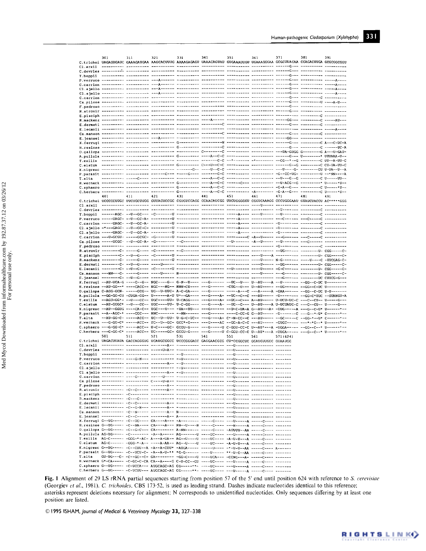|        | 301 | 311 | 321                                                                                                                                                                                                                                                 | 331 | 341 | 351 | 361                                                                                            | 371       | 381 | 391 |
|--------|-----|-----|-----------------------------------------------------------------------------------------------------------------------------------------------------------------------------------------------------------------------------------------------------|-----|-----|-----|------------------------------------------------------------------------------------------------|-----------|-----|-----|
|        |     |     | C.trichoi UAGAGUGAUC GAAAGAUGAA AAGCACUUUG AAAAGAGAGU UAAACAGUAU GUGAAAUUGU UGAAAGGGAA GCGCUUACAA CCAGACUUGA GCGCGGCGGU                                                                                                                             |     |     |     |                                                                                                |           |     |     |
|        |     |     |                                                                                                                                                                                                                                                     |     |     |     |                                                                                                |           |     |     |
|        |     |     |                                                                                                                                                                                                                                                     |     |     |     |                                                                                                |           |     |     |
|        |     |     |                                                                                                                                                                                                                                                     |     |     |     |                                                                                                |           |     |     |
|        |     |     |                                                                                                                                                                                                                                                     |     |     |     |                                                                                                |           |     |     |
|        |     |     |                                                                                                                                                                                                                                                     |     |     |     |                                                                                                |           |     |     |
|        |     |     |                                                                                                                                                                                                                                                     |     |     |     |                                                                                                |           |     |     |
|        |     |     |                                                                                                                                                                                                                                                     |     |     |     |                                                                                                |           |     |     |
|        |     |     |                                                                                                                                                                                                                                                     |     |     |     |                                                                                                |           |     |     |
|        |     |     |                                                                                                                                                                                                                                                     |     |     |     |                                                                                                |           |     |     |
|        |     |     |                                                                                                                                                                                                                                                     |     |     |     |                                                                                                |           |     |     |
|        |     |     |                                                                                                                                                                                                                                                     |     |     |     |                                                                                                |           |     |     |
|        |     |     |                                                                                                                                                                                                                                                     |     |     |     |                                                                                                |           |     |     |
|        |     |     |                                                                                                                                                                                                                                                     |     |     |     |                                                                                                |           |     |     |
|        |     |     |                                                                                                                                                                                                                                                     |     |     |     |                                                                                                |           |     |     |
|        |     |     |                                                                                                                                                                                                                                                     |     |     |     |                                                                                                |           |     |     |
|        |     |     |                                                                                                                                                                                                                                                     |     |     |     |                                                                                                |           |     |     |
|        |     |     |                                                                                                                                                                                                                                                     |     |     |     |                                                                                                |           |     |     |
|        |     |     |                                                                                                                                                                                                                                                     |     |     |     |                                                                                                |           |     |     |
|        |     |     |                                                                                                                                                                                                                                                     |     |     |     |                                                                                                |           |     |     |
| T.alta |     |     |                                                                                                                                                                                                                                                     |     |     |     |                                                                                                |           |     |     |
|        |     |     |                                                                                                                                                                                                                                                     |     |     |     |                                                                                                |           |     |     |
|        |     |     |                                                                                                                                                                                                                                                     |     |     |     |                                                                                                |           |     |     |
|        | 401 | 411 | 421                                                                                                                                                                                                                                                 | 431 | 441 | 451 | 461                                                                                            | 471       | 481 | 491 |
|        |     |     | C.trichoi UCCCCCUUGC UUCUGCUUGG GUUACUCCG CGUGUCCAGG CCAACAUCGG UUCUGGGGGU CGGUCAAAGG CCCUGGGAAU GUAUCUACCU AC*****GGG                                                                                                                              |     |     |     |                                                                                                |           |     |     |
|        |     |     |                                                                                                                                                                                                                                                     |     |     |     |                                                                                                |           |     |     |
|        |     |     |                                                                                                                                                                                                                                                     |     |     |     |                                                                                                |           |     |     |
|        |     |     |                                                                                                                                                                                                                                                     |     |     |     |                                                                                                |           |     |     |
|        |     |     |                                                                                                                                                                                                                                                     |     |     |     |                                                                                                |           |     |     |
|        |     |     |                                                                                                                                                                                                                                                     |     |     |     |                                                                                                |           |     |     |
|        |     |     |                                                                                                                                                                                                                                                     |     |     |     |                                                                                                |           |     |     |
|        |     |     |                                                                                                                                                                                                                                                     |     |     |     |                                                                                                |           |     |     |
|        |     |     |                                                                                                                                                                                                                                                     |     |     |     |                                                                                                |           |     |     |
|        |     |     |                                                                                                                                                                                                                                                     |     |     |     |                                                                                                |           |     |     |
|        |     |     |                                                                                                                                                                                                                                                     |     |     |     |                                                                                                |           |     |     |
|        |     |     |                                                                                                                                                                                                                                                     |     |     |     |                                                                                                |           |     |     |
|        |     |     |                                                                                                                                                                                                                                                     |     |     |     |                                                                                                |           |     |     |
|        |     |     |                                                                                                                                                                                                                                                     |     |     |     |                                                                                                |           |     |     |
|        |     |     | X.ferrugi --AU-UCA-G ----C--G-- NGC----G-- G-N--U---- ---G------ --OC--U--- U--AU----A --U------- --GG--C-UC U--------                                                                                                                              |     |     |     |                                                                                                |           |     |     |
|        |     |     | H.resinae --AU-GG--* ----CACC-- NGC---NG-- NNN-CU---- ---G------ -CUG--U--- U--AU----- --UG------ --GG--C-UC U---------<br>0.gallopa C-AGG-GCN- -----GCG-- UG--U-UUC- A-C-GA---- ---G------ ------A---C ---A-----A -GAA------ --GG--C-UC U-U------- |     |     |     |                                                                                                |           |     |     |
|        |     |     | A.pullula --GG-GG-CU -CUGA-CG-- U------A-U U*--GA---- ---G----A- --UC--C--C ---AU----- -U-------- --GG-C*UUC --UUNNGU-A                                                                                                                             |     |     |     |                                                                                                |           |     |     |
|        |     |     | T.exilis --AGU-GG*- --U---CC-- UGC----UU- U-CAGG---- ---G----A- --UG--C--- A--AU----- U-UCU-UC-C ---C--CU-- U-----G---                                                                                                                              |     |     |     |                                                                                                |           |     |     |
|        |     |     | C.elatum --AU-GGGC* --U---CC-- UGC----UU- U-C-GG---- ---G----A- --UG--C--- U--AU----A U-UCUAUC-C ---C--CU-- U-----G---<br>X.nigresc --AU--GGUG ----CA-C-- UGC---U--- -UA--UU--- ---G------ --U-C-UA-A G--AU---A- -UUG-----A ---G--C-U* U------*--   |     |     |     |                                                                                                |           |     |     |
|        |     |     | P.parasit --A--AGC-* ----CGC--- NNC------- --NN------ ---G------ ----C-CC-G G--AU----- -U--------C ---G--*-U* C------*--                                                                                                                            |     |     |     |                                                                                                |           |     |     |
| T.alta |     |     | --AU-GG-C- -----ACC-- UC--U--UU- U-G-C-UC-- ---G----A- C--N-CC--C ---AU----- --GC-----C --GG-*--U* C------*--                                                                                                                                       |     |     |     |                                                                                                |           |     |     |
|        |     |     | H.Werneck ---G-GG-C* -----ACC-- UC--U--GC- GCC*-G---- ---G----AC --GG-A-C-C ---AU----- -GUGC----- ---*-*C--* U------*--                                                                                                                             |     |     |     |                                                                                                |           |     |     |
|        |     |     | C.sphaero ---G-GG-C* -----ACC-- U-C----GC- GCGU-G---- ---G-----U C-GGU-CC-C U--AU*---A -UGGA----- --GG--C--* U------*--<br>C.herbaru ---G-GG-C* -----ACC-- UC-----GC- GCGU-G---- ---G------U C-GGU-CC-C U--AU*---A -UUGA----- ---G--C--* U-----**-- |     |     |     |                                                                                                |           |     |     |
|        | 501 | 511 | 521                                                                                                                                                                                                                                                 | 531 | 541 | 551 | 561                                                                                            | 571 (624) |     |     |
|        |     |     | C.trichoi UAGACUUAUA GACCAGGGUG UCAUGCGGCC UCCCGGGACC GAGGAACGCG CU*CCGGCUC GGAUGUUGGC GUAAUGG                                                                                                                                                      |     |     |     |                                                                                                |           |     |     |
|        |     |     |                                                                                                                                                                                                                                                     |     |     |     |                                                                                                |           |     |     |
|        |     |     |                                                                                                                                                                                                                                                     |     |     |     |                                                                                                |           |     |     |
|        |     |     |                                                                                                                                                                                                                                                     |     |     |     |                                                                                                |           |     |     |
|        |     |     |                                                                                                                                                                                                                                                     |     |     |     |                                                                                                |           |     |     |
|        |     |     |                                                                                                                                                                                                                                                     |     |     |     |                                                                                                |           |     |     |
|        |     |     |                                                                                                                                                                                                                                                     |     |     |     |                                                                                                |           |     |     |
|        |     |     |                                                                                                                                                                                                                                                     |     |     |     |                                                                                                |           |     |     |
|        |     |     |                                                                                                                                                                                                                                                     |     |     |     |                                                                                                |           |     |     |
|        |     |     |                                                                                                                                                                                                                                                     |     |     |     |                                                                                                |           |     |     |
|        |     |     |                                                                                                                                                                                                                                                     |     |     |     |                                                                                                |           |     |     |
|        |     |     |                                                                                                                                                                                                                                                     |     |     |     |                                                                                                |           |     |     |
|        |     |     |                                                                                                                                                                                                                                                     |     |     |     |                                                                                                |           |     |     |
|        |     |     |                                                                                                                                                                                                                                                     |     |     |     |                                                                                                |           |     |     |
|        |     |     | X.ferrugi G--UG----- -C--UC---- CA----A--- -A-------- -----C---- ---U-----A -----C---- -------                                                                                                                                                      |     |     |     |                                                                                                |           |     |     |
|        |     |     | H.resinae G--UG----- -C--NA---- CA----A--- NN--U----N -----C---- ---N------A -----C---- -------<br>0.gallopa G--UG----- -C--G-C--- CA-------- A-NN------ -----C---- -AUUUU--AA -----C---- -------                                                   |     |     |     |                                                                                                |           |     |     |
|        |     |     | A.pullula AG-UG----- -C-------- -A--A----- AG-------U ----UC---- ---U------A -----C---- -------                                                                                                                                                     |     |     |     |                                                                                                |           |     |     |
|        |     |     | T.exilis AG-C------ -GGG-*-AC- A---A-UA-- AG--U----U ----UC---- -A-U-U---A -----C---- -------                                                                                                                                                       |     |     |     |                                                                                                |           |     |     |
|        |     |     | C.elatum AG-C------ -GGG-*-A-- ----A-AA-- AG--U----U ----UC----- -A-U-U---A -----C---- -------<br>X.nigresc G--UG----- -C--CUU--A -A--A-CUU* -AUGA----- -----U---- -*-U-U--AA -----C---- A------                                                    |     |     |     |                                                                                                |           |     |     |
|        |     |     | P.parasit G--UG----- -C--UCU-C- -A--A-U-** *G-G------ ----U----- **-U-C--AA -----C---- -------                                                                                                                                                      |     |     |     |                                                                                                |           |     |     |
| T.alta |     |     |                                                                                                                                                                                                                                                     |     |     |     |                                                                                                |           |     |     |
|        |     |     | H.werneck G*-CA----- -C-GC-C-CA CA--A----G C-U-CC--GU ----UC---- ---U------A -----C---- -------<br>C.sphaero G--UG----- -C-UCCA--- AUGCAGC-AG CG------**- ----UC---- ---U------A -----C---- -------                                                 |     |     |     |                                                                                                |           |     |     |
|        |     |     |                                                                                                                                                                                                                                                     |     |     |     | C.herbaru G--UG----- -C-UCUU--- AUGCAGC-AG CG-----**- ----UC---- ---U------A -----C---- ------ |           |     |     |

Fig. 1 Alignment of 29 LS rRNA partial sequences starting from position 57 of the 5' end until position 624 with reference to S. cerevisiae (Georgiev et al., 1981). C. trichoides, CBS 173.52, is used as leading strand. Dashes indicate nucleotides identical to this reference; asterisks represent deletions necessary for alignment; N corresponds to unidentified nucleotides. Only sequences differing by at least one position are listed.

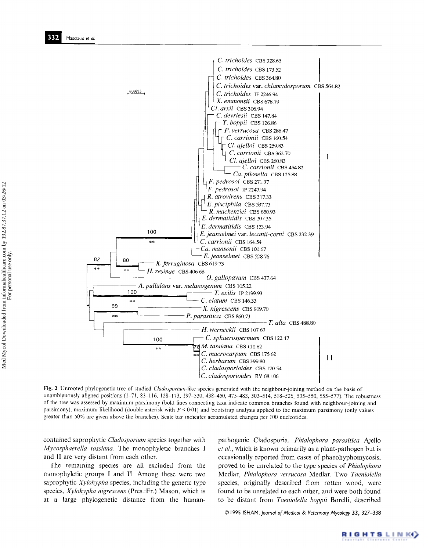

Fig. 2 Unrooted phylogenetic tree of studied Cladosporium-like species generated with the neighbour-joining method on the basis of unambiguously aligned positions (1-71, 83-116, 128-173, 197-330, 438-450, 475-483, 503-514, 518-526, 535-550, 555-577). The robustness of the tree was assessed by maximum parsimony (bold lines connecting taxa indicate common branches found with neighbour-joining and parsimony), maximum likelihood (double asterisk with  $P < 0.01$ ) and bootstrap analysis applied to the maximum parsimony (only values greater than 50% are given above the branches). Scale bar indicates accumulated changes per 100 nucleotides.

contained saprophytic Cladosporium species together with Mycosphaerella tassiana. The monophyletic branches I and II are very distant from each other.

The remaining species are all excluded from the monophyletic groups I and II. Among these were two saprophytic *Xylohypha* species, including the generic type species, *Xylohypha nigrescens* (Pres.:Fr.) Mason, which is at a large phylogenetic distance from the human-

pathogenic Cladosporia. Phialophora parasitica Ajello *et al.*, which is known primarily as a plant-pathogen but is occasionally reported from cases of phaeohyphomycosis, proved to be unrelated to the type species of Phialophora Medlar, Phialophora verrucosa Medlar. Two Taeniolella species, originally described from rotten wood, were found to be unrelated to each other, and were both found to be distant from Taeniolella boppii Borelli, described

© 1995 ISHAM, Journal of Medical & Veterinary Mycology 33, 327-338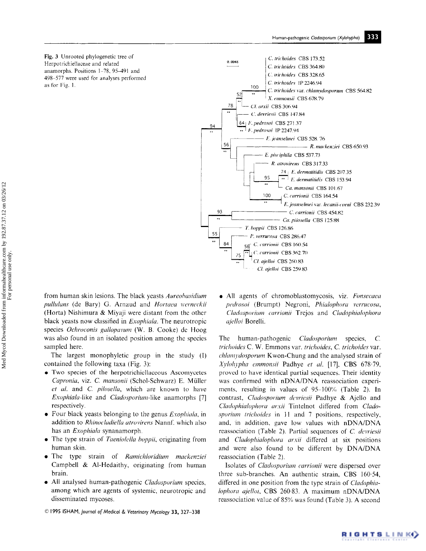Fig. 3 Unrooted phylogenetic tree of Herpotrichiellaceae and related anamorphs. Positions 1-78, 95-491 and 498-577 were used for analyses performed as for Fig. 1.



from human skin lesions. The black yeasts Aureobasidium pullulans (de Bary) G. Arnaud and Hortaea werneckii (Horta) Nishimura & Miyaji were distant from the other black yeasts now classified in *Exophiala*. The neurotropic species Ochroconis gallopavum (W. B. Cooke) de Hoog was also found in an isolated position among the species sampled here.

The largest monophyletic group in the study (I) contained the following taxa (Fig. 3):

- Two species of the herpotrichiellaceous Ascomycetes Capronia, viz. C. mansonii (Schol-Schwarz) E. Müller et al. and C. pilosella, which are known to have Exophiala-like and Cladosporium-like anamorphs [7] respectively.
- Four black yeasts belonging to the genus *Exophiala*, in addition to *Rhinocladiella atrovirens* Nannf, which also has an *Exophiala* synanamorph.
- The type strain of Taeniolella boppii, originating from human skin.
- The type strain of Ramichloridium mackenziei Campbell & Al-Hedaithy, originating from human brain.
- All analysed human-pathogenic Cladosporium species, among which are agents of systemic, neurotropic and disseminated mycoses.
- © 1995 ISHAM, Journal of Medical & Veterinary Mycology 33, 327-338

• All agents of chromoblastomycosis, viz. Fonsecaea pedrosoi (Brumpt) Negroni, Phialophora verrucosa, Cladosporium carrionii Trejos and Cladophialophora ajelloi Borelli.

The human-pathogenic Cladosporium species,  $\mathcal{C}$ trichoides C. W. Emmons var. trichoides, C. trichoides var. chlamydosporum Kwon-Chung and the analysed strain of Xylohypha emmonsii Padhye et al. [17], CBS 678.79, proved to have identical partial sequences. Their identity was confirmed with nDNA/DNA reassociation experiments, resulting in values of 95-100% (Table 2). In contrast, Cladosporium devriesii Padhye & Ajello and Cladophialophora arxii Tintelnot differed from Cladosporium trichoides in 11 and 7 positions, respectively, and, in addition, gave low values with nDNA/DNA reassociation (Table 2). Partial sequences of C. devriesii and Cladophialophora arxii differed at six positions and were also found to be different by DNA/DNA reassociation (Table 2).

Isolates of *Cladosporium carrionii* were dispersed over three sub-branches. An authentic strain, CBS 160.54, differed in one position from the type strain of *Cladophia*lophora ajelloi, CBS 260.83. A maximum nDNA/DNA reassociation value of 85% was found (Table 3). A second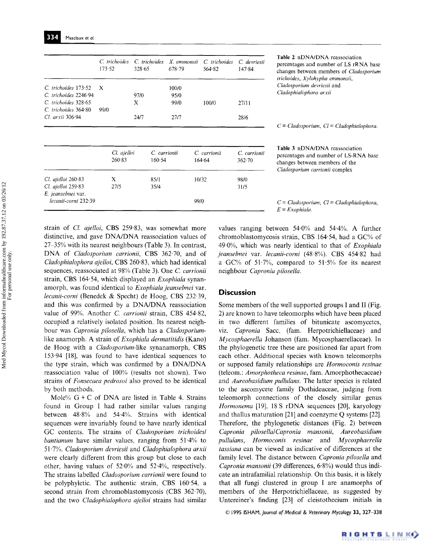strain of *Cl. ajelloi,* CBS 259'83, was somewhat more distinctive, and gave DNA/DNA reassociation values of 27 35% with its nearest neighbours (Table 3). In contrast, DNA of *Cladosporium carrionii*, CBS 362.70, and of *Cladophialophora ajelloi,* CBS 260-83, which had identical sequences, reassociated at 98% (Table 3). One *C. carrionii*  strain, CBS 164.54, which displayed an *Exophiala* synanamorph, was found identical to *Exophiala jeanselmei* var. *lecanii-corni* (Benedek & Specht) de Hoog, CBS 232.39, and this was confirmed by a DNA/DNA reassociation value of 99%. Another *C. carrionii* strain, CBS 454·82, occupied a relatively isolated position. Its nearest neighbour was *Capronia pilosella,* which has a *Cladosporium*like anamorph. A strain of *Exophiala dermatitidis* (Kano) de Hoog with a *Cladosporium-like* synanamorph, CBS 153.94 [18], was found to have identical sequences to the type strain, which was confirmed by a DNA/DNA reassociation value of 100% (results not shown). Two strains of *Fonsecaea pedrosoi* also proved to be identical by both methods.

*tecanii-corni* 232-39 99/0

X 100/0

97/0 95/0 X 99/0

Mole%  $G + C$  of DNA are listed in Table 4. Strains found in Group I had rather similar values ranging between 48.8% and 54.4%. Strains with identical sequences were invariably found to have nearly identical GC contents. The strains of *Cladosporiurn trichoides/ bantianum* have similar values, ranging from 51-4% to 51 "7%. *Cladosporium devriesii* and *CladophiaIophora arxii*  were clearly different from this group but close to each other, having values of 52.0% and 52.4%, respectively. The strains labelled *Cladosporium carrionii* were found to be polyphyletic. The authentic strain, CBS 160.54, a second strain from chromoblastomycosis (CBS 362-70), and the two *Cladophialophora ajelloi* strains had similar

values ranging between 54.0% and 54-4%. A further chromoblastomycosis strain, CBS 164.54, had a GC% of 49.0%, which was nearly identical to that of *Exophiala jeanselmei* var. *lecanii-corni* (48.8%). CBS 454.82 had a GC% of 51.7%, compared to 51.5% for its nearest neighbour *Capronia pilosella.* 

*E = Exophiala.* 

# **Discussion**

Some members of the well supported groups I and II (Fig. 2) are known to have teleomorphs which have been placed in two different families of bitunicate ascomycetes, viz. *Capronia* Sacc. (fam. Herpotrichiellaceae) and *Mycosphaerella* Johanson (fam. Mycosphaerellaceae). In the phylogenetic tree these are positioned far apart from each other. Additional species with known teleomorphs or supposed family relationships are *Hormoconis resinae*  (teleom.: *Amorphotheca resinae,* fam. Amorphothecaceae) and *Aureobasidium pullulans.* The latter species is related to the ascomycete family Dothideaceae, judging from teleomorph connections of the closely similar genus *Hormonema* [19], 18 S rDNA sequences [20], karyology and thallus maturation [21] and coenzyme Q systems [22]. Therefore, the phylogenetic distances (Fig. 2) between *Capronia pilosella/Capronia mansonii, Aureobasidium pullulans, Hormoconis resinae* and *Mycosphaerella tassiana* can be viewed as indicative of differences at the family level. The distance between *Capronia pilosella* and *Capronia mansonii* (39 differences, 6'8%) would thus indicate an intrafamilial relationship. On this basis, it is likely that all fungi clustered in group I are anamorphs of members of the Herpotrichiellaceae, as suggested by Untereiner's finding [23] of cleistothecium initials in

© [995 ISHAM, *Journal of Medical & Veterinary Mycology 33,* 327-338

Table 2 nDNA/DNA reassociation percentages and number of LS rRNA base changes between members of *Cladosporium trichoides, Xylohypha emmonsii, Cladosporium devriesii* and *Cladophialophora arxii* 

*C = Cladosporium, Cl = Cladophialophora.* 

Table 3 nDNA/DNA reassociation percentages and number of LS-RNA base changes between members of the *Cladosporiurn carrionii* complex

*C = Ctadosporium, Ct = C/adophialophora,* 

100/0 27/11

24/7 27/7 28/6

*Cl. ajelloi C. carrionii C. carrionii C. carrionii*  260-83 160.54 164-64 362.70

 $X = 85/1$  10/32 98/0 27/5 35/4 31/5

Masclaux *et al.* 

99/0

C. trichoides 173.52 *C. trichoides* 2246-94 *C. trichoides* 328.65 *C trichoides* 364"80 *Cl. arxii* 306.94

334

*C/. ajelloi* 260-83 *Cl. ajellui* 259.83 *E. jeanselmei* var.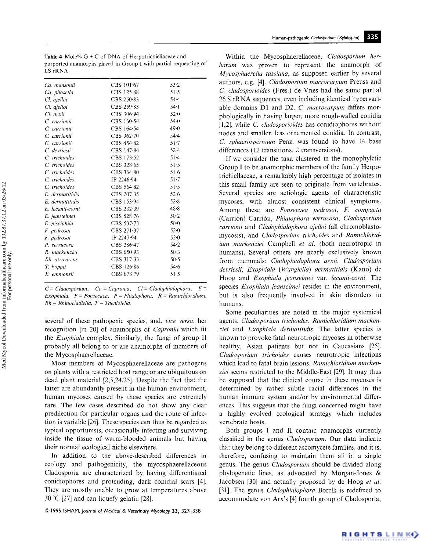| LS rRNA       | purported anamorphs placed in Group I with partial sequencing of |          |
|---------------|------------------------------------------------------------------|----------|
|               |                                                                  |          |
| Ca. mansonii  | CBS 101-67                                                       | 53.2     |
| Ca. pilosella | CBS 125-88                                                       | 51.5     |
| Cl. ajelloi   | CBS 260-83                                                       | 54.4     |
| Cl. ajelloi   | CBS 259-83                                                       | $54 - 1$ |

**Table 4** Mole%  $G + C$  of DNA of Herpotrichiellaceae and

| Cl. ajelloi      | CBS 259-83           | $54 \cdot 1$ |  |
|------------------|----------------------|--------------|--|
| Cl. arxii        | CBS 306-94           | 52.0         |  |
| C. carrionii     | CBS 160-54           | $54-0$       |  |
| C. carrionii     | CBS 164-54           | 49.0         |  |
| C. carrionii     | CBS $362-70$         | $54-4$       |  |
| C. carrionii     | CBS 454.82           | $51 - 7$     |  |
| C. devriesii     | CBS 147.84           | 52.4         |  |
| C. trichoides    | CBS 173.52           | $51 - 4$     |  |
| C. trichoides    | CBS $328.65$         | $51-5$       |  |
| C. trichoides    | $CBS$ 364 $\cdot$ 80 | $51-6$       |  |
| C. trichoides    | IP 2246.94           | 51.7         |  |
| C. trichoides    | $CBS$ 564 $\cdot$ 82 | 51.5         |  |
| E. dermatitidis  | CBS $207.35$         | 52.6         |  |
| E. dermatitidis  | CBS 153.94           | 52.8         |  |
| E. lecanii-corni | $CBS$ 232.39         | 48.8         |  |
| E. jeanselmei    | CBS 528-76           | $50-2$       |  |
| E. pisciphila    | CBS 537-73           | $50-0$       |  |
| F. pedrosoi      | CBS $271.37$         | 52.0         |  |
| F. pedrosoi      | IP 2247-94           | 52.0         |  |
| P. verrucosa     | CBS 286-47           | 54.2         |  |
| R. mackenziei    | CBS 650-93           | $50-3$       |  |
| Rh. atrovirens   | CBS 317-33           | $50-5$       |  |
| T. boppii        | $CBS$ 126.86         | 54.6         |  |
| X. emmonsii      | CBS 678-79           | 51.5         |  |
|                  |                      |              |  |

 $C = Cladosporium$ ,  $Ca = Capronia$ ,  $Cl = Cladophialophora$ ,  $E =$ *Exophiala, F = Fonsecaea, P = Phialophora, R = Ramich/oridium, Rh = Rhinocladielta, T = Taeniolella.* 

several of these pathogenic species, and, *vice versa,* her recognition [in 20] of anamorphs of *Capronia* which fit the *Exophiala* complex. Similarly, the fungi of group II probably all belong to or are anamorphs of members of the Mycosphaerellaceae.

Most members of Mycosphaerellaceae are pathogens on plants with a restricted host range or are ubiquitous on dead plant material [2,3,24,25]. Despite the fact that the latter are abundantly present in the human environment, human mycoses caused by these species are extremely rare. The few cases described do not show any clear predilection for particular organs and the route of infection is variable [26]. These species can thus be regarded as typical opportunists, occasionally infecting and surviving inside the tissue of warm-blooded animals but having their normal ecological niche elsewhere.

In addition to the above-described differences in ecology and pathogenicity, the mycosphaerellaceous Cladosporia are characterized by having differentiated conidiophores and protruding, dark conidial scars [4]. They are mostly unable to grow at temperatures above 30 °C [27] and can liquefy gelatin [28].

© 1995 ISHAM, *Journal of Medical & Veterinary Mycology* **33,** 327-338

Within the Mycosphaerellaceae, *Cladosporium herbarum* was proven to represent the anamorph of *Mycosphaerella tassiana,* as supposed earlier by several authors, e.g. [4]. *Cladosporium macrocarpum* Preuss and *C. cladosporioides* (Fres.) de Vries had the same partial 26 S rRNA sequences, even including identical hypervariable domains D1 and *D2. C macrocarpum* differs morphologically in having larger, more rough-walled conidia [1,2], while *C. cladosporioides* has conidiophores without nodes and smaller, less ornamented conidia. In contrast, *C sphaerospermum* Penz. was found to have 14 base differences (12 transitions, 2 transversions).

If we consider the taxa clustered in the monophyletic Group I to be anamorphic members of the family Herpotrichiellaceae, a remarkably high percentage of isolates in this small family are seen to originate from vertebrates. Several species are aetiologic agents of characteristic mycoses, with almost consistent clinical symptoms. Among these are *Fonsecaea pedrosoi, E compacta*  (Carridn) Carridn, *Phialophora verrucosa, Cladosporium carrionii* and *Cladophialophora ajelloi* (all chromoblastomycosis), and *Cladosporium trichoides* and *Ramichloridium mackenziei* Campbell *et al.* (both neurotropic in humans). Several others are nearly exclusively known from mammals: *Cladophialophora arxii, Cladosporium devriesii, Exophiala ( Wangiella) dermatitidis* (Kano) de Hoog and *Exophiala jeanselmei* var. *lecanii-corni.* The species *Exophiala jeanselmei* resides in the environment, but is also frequently involved in skin disorders in humans.

Some peculiarities are noted in the major systemical agents, *Cladosporium trichoides, Ramichloridium mackenziei* and *Exophiala dermatitidis.* The latter species is known to provoke fatal neurotropic mycoses in otherwise healthy, Asian patients but not in Caucasians [25]. *Cladosporium trichoides* causes neurotropic infections which lead to fatal brain lesions. *Ramichloridium mackenziei* seems restricted to the Middle-East [29]. It may thus be supposed that the clinical course in these mycoses is determined by rather subtle racial differences in the human immune system and/or by environmental differences. This suggests that the fungi concerned might have a highly evolved ecological strategy which includes vertebrate hosts.

Both groups I and 11 contain anamorphs currently classified in the genus *Cladosporium.* Our data indicate that they belong to different ascomycete families, and it is, therefore, confusing to maintain them all in a single genus. The genus *Cladosporium* should be divided along phylogenetic lines, as advocated by Morgan-Jones & Jacobsen [30] and actually proposed by de Hoog *et al.*  [31]. The genus *Cladophialophora* Borelli is redefined to accommodate van Arx's [4] fourth group of Cladosporia,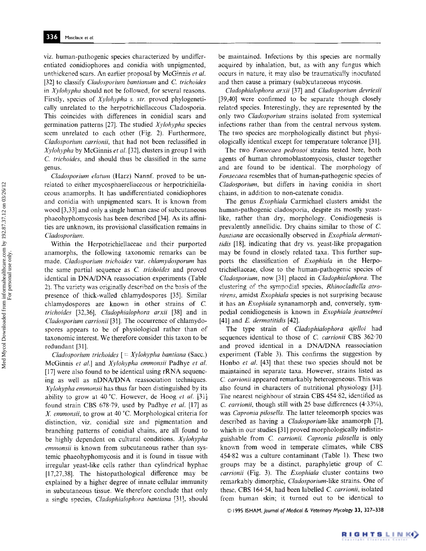viz. human-pathogenic species characterized by undifferentiated conidiophores and conidia with unpigmented, unthickened scars. An earlier proposal by McGinnis *et al.*  [32] to classify *Cladosporium bantianum* and C. *trichoides*  in *Xylohypha* should not be followed, for several reasons. Firstly, species of *XyIohypha s. str.* proved phylogenetically unrelated to the herpotrichiellaceous Cladosporia. This coincides with differences in conidial scars and germination patterns [27]. The studied *Xylohypha* species seem unrelated to each other (Fig. 2). Furthermore, *Cladosporium carrionii,* that had not been reclassified in *Xylohypha* by McGinnis *et al.* [32], clusters in group I with *C. trichoides,* and should thus be classified in the same genus.

*Cladosporium elatum* (Harz) Nannf. proved to be unrelated to either mycosphaerellaceous or herpotrichiellaceous anamorphs. It has undifferentiated conidiophores and conidia with unpigmented scars. It is known from wood [3,33] and only a single human case of subcutaneous phaeohyphomycosis has been described [34]. As its affinities are unknown, its provisional classification remains in *Cladosporium.* 

Within the Herpotrichiellaceae and their purported anamorphs, the following taxonomic remarks can be made. *Cladosporium trichoides* var. *chlamydosporum* has the same partial sequence as *C. trichoides* and proved identical in DNA/DNA reassociation experiments (Table 2). The variety was originally described on the basis of the presence of thick-walled chlamydospores [35]. Similar chlamydospores are known in other strains of C *trichoides* [32,36], *Cludophialophora arxii* [38] and in *CIadosporium carrionii* [31]. The occurrence of chlamydospores appears to be of physiological rather than of taxonomic interest. We therefore consider this taxon to be redundant [31].

*Cladosporium trichoides [ = Xylohypha bantiana* (Sacc.) McGinnis *et al.]* and *Xylohypha emmonsii* Padhye *et al.*  [17] were also found to be identical using rRNA sequencing as well as nDNA/DNA reassociation techniques. *~ylohypha emmonsii* has thus far been distinguished by its ability to grow at 40 °C. However, de Hoog *et ul.* [31] found strain CBS 678.79, used by Padhye *et al.* [17] as *X. emmonsii,* to grow at 40 °C. Morphological criteria for distinction, viz. conidial size and pigmentation and branching patterns of conidial chains, are all found to be highly dependent on cultural conditions. *Xylohypha emmonsii* is known from subcutaneous rather than systemic phaeohyphomycosis and it is found in tissue with irregular yeast-like cells rather than cylindrical hyphae [17,27,38]. The histopathological difference may be explained by a higher degree of innate cellular immunity in subcutaneous tissue. We therefore conclude that only a single species, *Cladophialophora bantiana* [311, should be maintained. Infections by this species are normally acquired by inhalation, but, as with any fungus which occurs in nature, it may also be traumatically inoculated and then cause a primary (sub)cutaneous mycosis.

*Cladophialophora arxii* [37] and *Cladosporium devriesii*  [39,40] were confirmed to be separate though closely related species. Interestingly, they are represented by the only two *Cladosporium* strains isolated from systemical infections rather than from the central nervous system. The two species are morphologically distinct but physiologically identical except for temperature tolerance [31].

The two *Fonsecaea pedrosoi* strains tested here, both agents of human chromoblastomycosis, cluster together and are found to be identical, The morphology of *Fonsecaea* resembles that of human-pathogenic species of *Cladosporium,* but differs in having conidia in short chains, in addition to non-catenate conidia.

The genus *Exophiala* Carmichael clusters amidst the human-pathogenic cladosporia, despite its mostly yeastlike, rather than dry, morphology. Conidiogenesis is prevalently annellidic. Dry chains similar to those of C. *bantiana* are occasionally observed in *Exophiala dermatitidis* [18], indicating that dry vs. yeast-like propagation may be found in closely related taxa. This further supports the classification of *Exophiala* in the Herpotrichiellaceae, close to the human-pathogenic species of *Cladosporium,* now [31] placed in *Cladophialophora.* The clustering of the sympodial species, *RhinocIadiella atrovirens,* amidst *Exophiala* species is not surprising because it has an *Exophiala* synanamorph and, conversely, sympodial conidiogenesis is known in *Exophiala jeanselmei*  [41] and E. *dermatitidis* [42].

The type strain of *Cladophialophora ajelloi* had sequences identical to those of C. *carrionii* CBS 362'70 and proved identical in a DNA/DNA reassociation experiment (Table 3). This confirms the suggestion by Honbo et al. [43] that these two species should not be maintained in separate taxa. However, strains listed as *C carrionii* appeared remarkably heterogeneous. This was also found in characters of nutritional physiology [311. The nearest neighbour of strain CBS 454-82, identified as *C. carrionii,* though still with 25 base differences (4-33%), was *Capronia pilosella.* The latter teleomorph species was described as having a *Cladosporium-like* anamorph [7], which in our studies [31] proved morphologically indistinguishable from C. *carrionii. Capronia pilosella* is only known from wood in temperate climates, while CBS 454.82 was a culture contaminant (Table 1). These two groups may be a distinct, paraphyletic group of C. *carrionii* (Fig. 3). The *Exophiala* cluster contains two remarkably dimorphic, *Cladosporium-like* strains. One of these, CBS 164-54, had been labelled *C carrionii,* isolated from human skin; it turned out to be identical to

© 1995 ISHAM, *Journal of Medical & Veterinary Mycology* "13, 327--338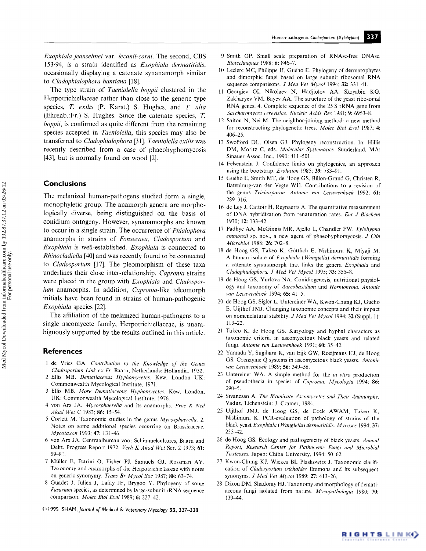*Exophiala jeanselmei* var. *lecanii-corni.* The second, CBS 153-94, is a strain identified as *Exophiala dermatitidis,*  occasionally displaying a catenate synanamorph similar to *Cladophialophora bantiana* [18].

The type strain of *Taeniolella boppii* clustered in the Herpotrichiellaceae rather than close to the generic type species, T. *exilis* (P. Karst.) S. Hughes, and T. *alta*  (Ehrenb.:Fr.) S. Hughes. Since the catenate species, T. *boppii,* is confirmed as quite different from the remaining species accepted in *Taeniolella,* this species may also be transferred to *Cladophialophora* [31]. *Taeniolella exilis* was recently described from a case of phaeohyphomycosis [43], but is normally found on wood [2].

## **Conclusions**

**The melanized human-pathogens studied form a single, monophyletic group. The anamorph genera are morphologically diverse, being distinguished on the basis of conidium ontogeny. However, synanamorphs are known**  to occur in a single strain. The occurrence of *Phiulophora*  anamorphs in strains of *Fonsecaea, C/adosporium* and *Exophiata* is well-established. *Exophiala* is connected to *Rhinocladiella* [40] and was recently found to be connected **to** *Cladosporium* **[17]. The pleomorphism of these taxa underlines their close inter-relationship.** *Capronia* **strains were placed in the group with** *Exophiala* **and** *Cladosporium* **anamorphs. In addition,** *Capronia-like* **teleomorph initials have been found in strains of human-pathogenic**  *Exophiala* **species [22].** 

**The affiliation of the melanized human-pathogens to a single ascomycete family, Herpotrichiellaceae, is unambiguously supported by the results outlined in this article.** 

#### **References**

- 1 de Vries GA. *Contribution to the Knowledge of the Genus Cladosporium Link ex Fr.* Baarn, Netherlands: Hollandia, 1952.
- 2 Ellis MB. *Dernatiaceous Hyphomyeetes.* Kew, London UK: Commonwealth Mycological Institute, 1971.
- 3 Ellis MB. *More Dematiaceous 14yphomycetes* Kew, London, UK: Commonwealth Mycological Institute, 1976.
- 4 von Arx JA. *Mycosphaerella* and its anamorphs. *Proc K Ned Akad Wet C* 1983; 86:15-54.
- 5 Corlett M. Taxonomic studies in the genus *Mycosphuerella. 2.*  Notes on some additional species occurring on Brassicaceae. *Mycotaxon* 1993; 47:13 1-46
- 6 von Arx JA. Centraalbureau voor Schimmelcultures, Baarn and Delft. Progress Report 1972. *Verh K Akad Wet* Ser. 2 1973; 61: 59-81.
- 7 Müller E, Petrini O, Fisher PJ, Samuels GJ, Rossman AY. Taxonomy and anamorphs of the Herpotrichiellaceae with notes on generic synonymy. *Trans Br Mycol Soc* 1987; 88: 63-74.
- 8 Guadet J, Julien J, Lafay JF, Brygoo Y. Phylogeny of some *Fusarium* species, as determined by large-subunit rRNA sequence comparison. *Molec Biol Evol* 1989; 6: 227-42.
- **© 1995 ISHAM,** *Journal of Medical & Veterinary Mycology* **33, 327-338**
- 9 Smith OP. Smalt scale preparation of RNAse-free DNAse. *Bioteehniques* 1988; 6: 846-7.
- 10 Leclerc MC, Philippe H, Guého E. Phylogeny of dermatophytes and dimorphic fungi based on large subunit ribosomal RNA sequence comparisons. *J Med Vet Mycol* 1994; 32: 331-41.
- 11 Georgiev OI, Nikolaev N, Hadjiolov AA, Skryabin KG, Zakharyev VM, Bayev AA. The structure of the yeast ribosomal RNA genes. 4. Complete sequence of the 25 S rRNA gene from *Saccharomyces cerevisiae. Nucleic Acids Res* 1981; 9: 6953-8.
- 12 Saitou N, Nei M. The neighbor-joining method: a new method for reconstructing phylogenetic trees. *Molec Biol Evol* 1987; 4: 406-25.
- 13 Swofford DL, Olsen GJ. Phylogeny reconstruction. In: Hillis DM, Moritz C, eds. *Molecular Systematics.* Sunderland, MA: Sinauer Assoc. Inc., 1990: 411-501.
- 14 Felsenstein J. Confidence limits on phylogenies, an approach using the bootstrap. *Evolution* 1985: 39: 783-91.
- 15 Gu6ho E, Smith MT, de Hoog GS, Billon-Grand G, Christen R, Batenburg-van der Vegte WH. Contributions to a revision of the genus *Triehosporon. Antonie van Leeuwenhoek* 1992; 61: 289-316.
- 16 de Ley J, Cattoir H, Reynaerts A. The quantitative measurement of DNA hybridization from renaturation rates. *Ear J Biochem*  1970; 12: 133-42.
- 17 Padhye AA, McGinnis MR, Ajello L, Chandler FW. *Xylohypha emmonsii* sp. nov., a new agent of phaeohyphomycosis. *J Clin Microbiol* 1988; 26: 702-8.
- 18 de Hoog GS, Takeo K, Göttlich E, Nishimura K, Miyaji M. A human isolate of *Exophiala (Wangiella) derrnatitidis* forming a catenate synanamorph that links the genera *Exophiala* and *Cladophialophora. J Med Vet Mycol* 1995; 33: 355-8.
- 19 de Hoog GS, Yurlova NA. Conidiogenesis, nutritional physiology and taxonomy of *Aureobasidium* and *Hormonema. Antonie van Leeuwenhoek* 1994; 65: 41-5.
- 20 de Hoog GS, Sigler L, Untereiner WA, Kwon-Chung KJ, Guého E, Uijthof JMJ. Changing taxonomic concepts and their impact on nomenclatural stability. *J Med Vet Mycol* 1994; 32 (Suppl. 1): 113-22.
- 21 Takeo K, de Hoog GS. Karyology and hyphal characters as taxonomic criteria in ascomycetous black yeasts and related fungi. *Antonie van Leeuwenhoek* 1991; 60: 35-42.
- 22 Yamada Y, Sugihara K, van Eijk GW, Roeijmans HJ, de Hoog GS. Coenzyme Q systems in ascomycetous black yeasts. *Antonie*  van Leeuwenhoek 1989; 56: 349-56.
- 23 Untereiner WA. A simple method for the *in vitro* production of pseudothecia in species of *Capronia. Mycologia* 1994; 86: 290-5.
- 24 Sivanesan A. *The Bitunicate Aseomyeetes and Their Anamorphs.*  Vaduz, Lichenstein: J. Cramer, 1984.
- 25 Uijthof JMJ, de Hoog GS, de Cock AWAM, Takeo K, Nishimura K. PCR-evaluation of pathology of strains of the black yeast *Exophiala (Wangiella) derrnatitidds. Mycvses* 1994; **37:**  235-42.
- 26 de Hoog GS. Ecology and pathogenicity of black yeasts. *Annual Report, Research Center jot Pathogenic Fungi and Microbial Toxicoses.* Japan: Chiba University, 1994: 50-62.
- 27 Kwon-Chung KJ, Wickes Bl, Plaskowitz J. Taxonomic clarification of *Cladosporium trichoides* Emmons and its subsequent synonyms. *J Med Vet Mycol* 1989; 27: 413-26.
- 28 Dixon DM, Shadomy HJ. Taxonomy and morphology of dematiaceous fungi isolated from nature. *Mycopathologia* 1980; **70:**  139-44.

RIGHTSLINK()